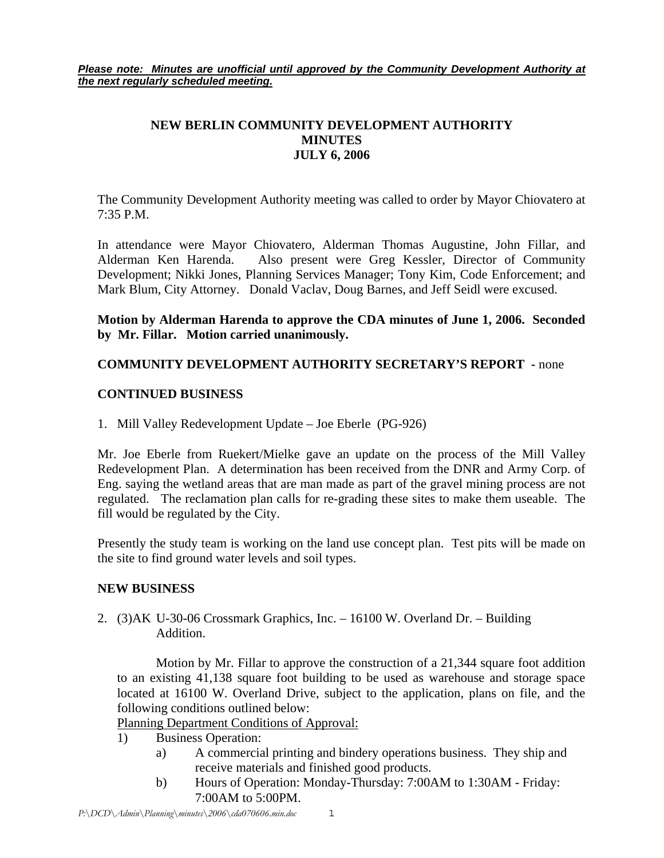*Please note: Minutes are unofficial until approved by the Community Development Authority at the next regularly scheduled meeting.*

# **NEW BERLIN COMMUNITY DEVELOPMENT AUTHORITY MINUTES JULY 6, 2006**

The Community Development Authority meeting was called to order by Mayor Chiovatero at 7:35 P.M.

In attendance were Mayor Chiovatero, Alderman Thomas Augustine, John Fillar, and Alderman Ken Harenda. Also present were Greg Kessler, Director of Community Development; Nikki Jones, Planning Services Manager; Tony Kim, Code Enforcement; and Mark Blum, City Attorney. Donald Vaclav, Doug Barnes, and Jeff Seidl were excused.

**Motion by Alderman Harenda to approve the CDA minutes of June 1, 2006. Seconded by Mr. Fillar. Motion carried unanimously.** 

## **COMMUNITY DEVELOPMENT AUTHORITY SECRETARY'S REPORT -** none

## **CONTINUED BUSINESS**

1. Mill Valley Redevelopment Update – Joe Eberle (PG-926)

Mr. Joe Eberle from Ruekert/Mielke gave an update on the process of the Mill Valley Redevelopment Plan. A determination has been received from the DNR and Army Corp. of Eng. saying the wetland areas that are man made as part of the gravel mining process are not regulated. The reclamation plan calls for re-grading these sites to make them useable. The fill would be regulated by the City.

Presently the study team is working on the land use concept plan. Test pits will be made on the site to find ground water levels and soil types.

### **NEW BUSINESS**

2. (3)AK U-30-06 Crossmark Graphics, Inc. – 16100 W. Overland Dr. – Building Addition.

 Motion by Mr. Fillar to approve the construction of a 21,344 square foot addition to an existing 41,138 square foot building to be used as warehouse and storage space located at 16100 W. Overland Drive, subject to the application, plans on file, and the following conditions outlined below:

Planning Department Conditions of Approval:

- 1) Business Operation:
	- a) A commercial printing and bindery operations business. They ship and receive materials and finished good products.
	- b) Hours of Operation: Monday-Thursday: 7:00AM to 1:30AM Friday: 7:00AM to 5:00PM.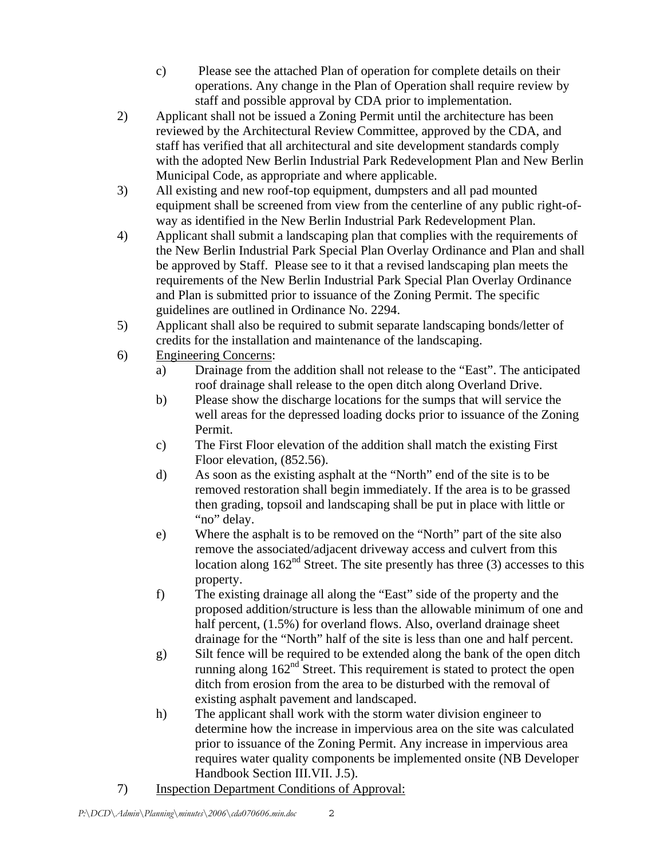- c) Please see the attached Plan of operation for complete details on their operations. Any change in the Plan of Operation shall require review by staff and possible approval by CDA prior to implementation.
- 2) Applicant shall not be issued a Zoning Permit until the architecture has been reviewed by the Architectural Review Committee, approved by the CDA, and staff has verified that all architectural and site development standards comply with the adopted New Berlin Industrial Park Redevelopment Plan and New Berlin Municipal Code, as appropriate and where applicable.
- 3) All existing and new roof-top equipment, dumpsters and all pad mounted equipment shall be screened from view from the centerline of any public right-ofway as identified in the New Berlin Industrial Park Redevelopment Plan.
- 4) Applicant shall submit a landscaping plan that complies with the requirements of the New Berlin Industrial Park Special Plan Overlay Ordinance and Plan and shall be approved by Staff. Please see to it that a revised landscaping plan meets the requirements of the New Berlin Industrial Park Special Plan Overlay Ordinance and Plan is submitted prior to issuance of the Zoning Permit. The specific guidelines are outlined in Ordinance No. 2294.
- 5) Applicant shall also be required to submit separate landscaping bonds/letter of credits for the installation and maintenance of the landscaping.
- 6) Engineering Concerns:
	- a) Drainage from the addition shall not release to the "East". The anticipated roof drainage shall release to the open ditch along Overland Drive.
	- b) Please show the discharge locations for the sumps that will service the well areas for the depressed loading docks prior to issuance of the Zoning Permit.
	- c) The First Floor elevation of the addition shall match the existing First Floor elevation, (852.56).
	- d) As soon as the existing asphalt at the "North" end of the site is to be removed restoration shall begin immediately. If the area is to be grassed then grading, topsoil and landscaping shall be put in place with little or "no" delay.
	- e) Where the asphalt is to be removed on the "North" part of the site also remove the associated/adjacent driveway access and culvert from this location along  $162<sup>nd</sup>$  Street. The site presently has three (3) accesses to this property.
	- f) The existing drainage all along the "East" side of the property and the proposed addition/structure is less than the allowable minimum of one and half percent, (1.5%) for overland flows. Also, overland drainage sheet drainage for the "North" half of the site is less than one and half percent.
	- g) Silt fence will be required to be extended along the bank of the open ditch running along  $162<sup>nd</sup>$  Street. This requirement is stated to protect the open ditch from erosion from the area to be disturbed with the removal of existing asphalt pavement and landscaped.
	- h) The applicant shall work with the storm water division engineer to determine how the increase in impervious area on the site was calculated prior to issuance of the Zoning Permit. Any increase in impervious area requires water quality components be implemented onsite (NB Developer Handbook Section III.VII. J.5).
- 7) Inspection Department Conditions of Approval: